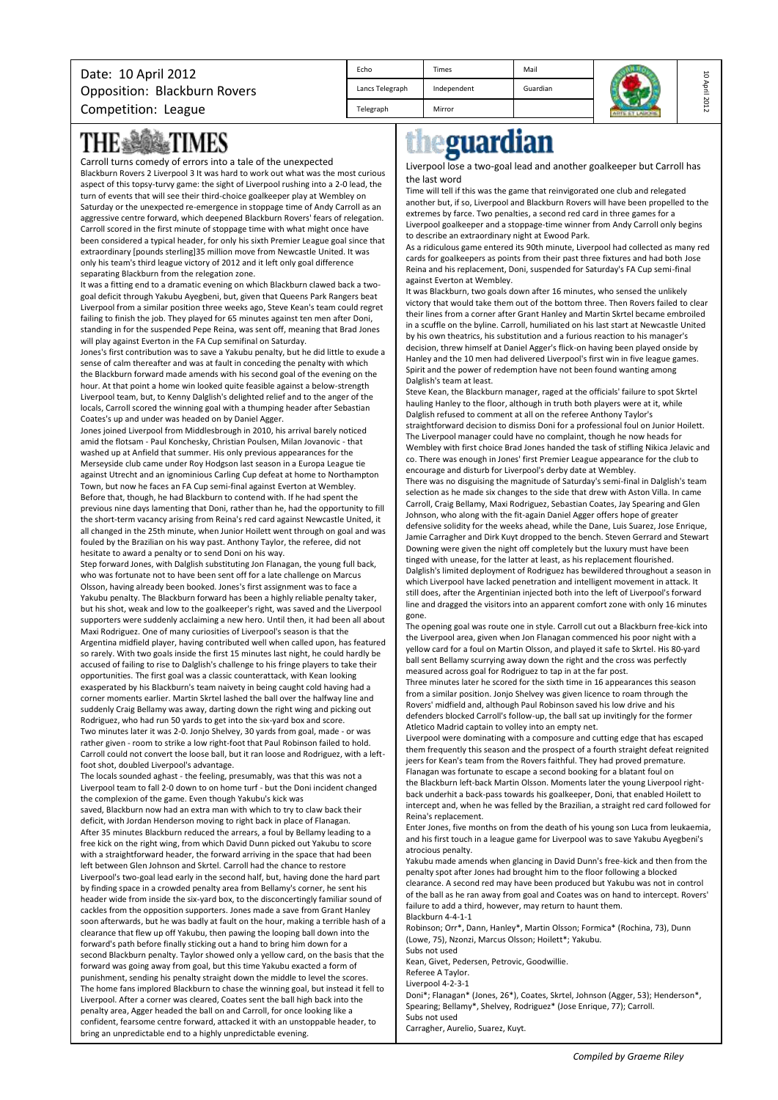| Date: 10 April 2012          | Echo            | <b>Times</b> | Mail     |  |
|------------------------------|-----------------|--------------|----------|--|
| Opposition: Blackburn Rovers | Lancs Telegraph | Independent  | Guardian |  |
| Competition: League          | Telegraph       | Mirror       |          |  |

## **THE SECTIMES**

Carroll turns comedy of errors into a tale of the unexpected

Blackburn Rovers 2 Liverpool 3 It was hard to work out what was the most curious aspect of this topsy-turvy game: the sight of Liverpool rushing into a 2-0 lead, the turn of events that will see their third-choice goalkeeper play at Wembley on Saturday or the unexpected re-emergence in stoppage time of Andy Carroll as an aggressive centre forward, which deepened Blackburn Rovers' fears of relegation. Carroll scored in the first minute of stoppage time with what might once have been considered a typical header, for only his sixth Premier League goal since that extraordinary [pounds sterling]35 million move from Newcastle United. It was only his team's third league victory of 2012 and it left only goal difference separating Blackburn from the relegation zone.

It was a fitting end to a dramatic evening on which Blackburn clawed back a twogoal deficit through Yakubu Ayegbeni, but, given that Queens Park Rangers beat Liverpool from a similar position three weeks ago, Steve Kean's team could regret failing to finish the job. They played for 65 minutes against ten men after Doni, standing in for the suspended Pepe Reina, was sent off, meaning that Brad Jones will play against Everton in the FA Cup semifinal on Saturday.

Jones's first contribution was to save a Yakubu penalty, but he did little to exude a sense of calm thereafter and was at fault in conceding the penalty with which the Blackburn forward made amends with his second goal of the evening on the hour. At that point a home win looked quite feasible against a below-strength Liverpool team, but, to Kenny Dalglish's delighted relief and to the anger of the locals, Carroll scored the winning goal with a thumping header after Sebastian Coates's up and under was headed on by Daniel Agger.

Jones joined Liverpool from Middlesbrough in 2010, his arrival barely noticed amid the flotsam - Paul Konchesky, Christian Poulsen, Milan Jovanovic - that washed up at Anfield that summer. His only previous appearances for the Merseyside club came under Roy Hodgson last season in a Europa League tie against Utrecht and an ignominious Carling Cup defeat at home to Northampton Town, but now he faces an FA Cup semi-final against Everton at Wembley. Before that, though, he had Blackburn to contend with. If he had spent the previous nine days lamenting that Doni, rather than he, had the opportunity to fill the short-term vacancy arising from Reina's red card against Newcastle United, it all changed in the 25th minute, when Junior Hoilett went through on goal and was fouled by the Brazilian on his way past. Anthony Taylor, the referee, did not hesitate to award a penalty or to send Doni on his way.

Step forward Jones, with Dalglish substituting Jon Flanagan, the young full back, who was fortunate not to have been sent off for a late challenge on Marcus Olsson, having already been booked. Jones's first assignment was to face a Yakubu penalty. The Blackburn forward has been a highly reliable penalty taker, but his shot, weak and low to the goalkeeper's right, was saved and the Liverpool supporters were suddenly acclaiming a new hero. Until then, it had been all about Maxi Rodriguez. One of many curiosities of Liverpool's season is that the Argentina midfield player, having contributed well when called upon, has featured so rarely. With two goals inside the first 15 minutes last night, he could hardly be accused of failing to rise to Dalglish's challenge to his fringe players to take their opportunities. The first goal was a classic counterattack, with Kean looking exasperated by his Blackburn's team naivety in being caught cold having had a corner moments earlier. Martin Skrtel lashed the ball over the halfway line and suddenly Craig Bellamy was away, darting down the right wing and picking out Rodriguez, who had run 50 yards to get into the six-yard box and score. Two minutes later it was 2-0. Jonjo Shelvey, 30 yards from goal, made - or was rather given - room to strike a low right-foot that Paul Robinson failed to hold. Carroll could not convert the loose ball, but it ran loose and Rodriguez, with a leftfoot shot, doubled Liverpool's advantage.

The locals sounded aghast - the feeling, presumably, was that this was not a Liverpool team to fall 2-0 down to on home turf - but the Doni incident changed the complexion of the game. Even though Yakubu's kick was saved, Blackburn now had an extra man with which to try to claw back their deficit, with Jordan Henderson moving to right back in place of Flanagan. After 35 minutes Blackburn reduced the arrears, a foul by Bellamy leading to a free kick on the right wing, from which David Dunn picked out Yakubu to score with a straightforward header, the forward arriving in the space that had been left between Glen Johnson and Skrtel. Carroll had the chance to restore Liverpool's two-goal lead early in the second half, but, having done the hard part by finding space in a crowded penalty area from Bellamy's corner, he sent his header wide from inside the six-yard box, to the disconcertingly familiar sound of cackles from the opposition supporters. Jones made a save from Grant Hanley soon afterwards, but he was badly at fault on the hour, making a terrible hash of a clearance that flew up off Yakubu, then pawing the looping ball down into the forward's path before finally sticking out a hand to bring him down for a second Blackburn penalty. Taylor showed only a yellow card, on the basis that the forward was going away from goal, but this time Yakubu exacted a form of punishment, sending his penalty straight down the middle to level the scores. The home fans implored Blackburn to chase the winning goal, but instead it fell to Liverpool. After a corner was cleared, Coates sent the ball high back into the penalty area, Agger headed the ball on and Carroll, for once looking like a confident, fearsome centre forward, attacked it with an unstoppable header, to bring an unpredictable end to a highly unpredictable evening.

### eguardian th

Liverpool lose a two-goal lead and another goalkeeper but Carroll has the last word

10 April 2012

10 April 2012

Time will tell if this was the game that reinvigorated one club and relegated another but, if so, Liverpool and Blackburn Rovers will have been propelled to the extremes by farce. Two penalties, a second red card in three games for a Liverpool goalkeeper and a stoppage-time winner from Andy Carroll only begins to describe an extraordinary night at Ewood Park.

As a ridiculous game entered its 90th minute, Liverpool had collected as many red cards for goalkeepers as points from their past three fixtures and had both Jose Reina and his replacement, Doni, suspended for Saturday's FA Cup semi-final against Everton at Wembley.

It was Blackburn, two goals down after 16 minutes, who sensed the unlikely victory that would take them out of the bottom three. Then Rovers failed to clear their lines from a corner after Grant Hanley and Martin Skrtel became embroiled in a scuffle on the byline. Carroll, humiliated on his last start at Newcastle United by his own theatrics, his substitution and a furious reaction to his manager's decision, threw himself at Daniel Agger's flick-on having been played onside by Hanley and the 10 men had delivered Liverpool's first win in five league games. Spirit and the power of redemption have not been found wanting among Dalglish's team at least.

Steve Kean, the Blackburn manager, raged at the officials' failure to spot Skrtel hauling Hanley to the floor, although in truth both players were at it, while Dalglish refused to comment at all on the referee Anthony Taylor's straightforward decision to dismiss Doni for a professional foul on Junior Hoilett. The Liverpool manager could have no complaint, though he now heads for Wembley with first choice Brad Jones handed the task of stifling Nikica Jelavic and co. There was enough in Jones' first Premier League appearance for the club to encourage and disturb for Liverpool's derby date at Wembley.

There was no disguising the magnitude of Saturday's semi-final in Dalglish's team selection as he made six changes to the side that drew with Aston Villa. In came Carroll, Craig Bellamy, Maxi Rodriguez, Sebastian Coates, Jay Spearing and Glen Johnson, who along with the fit-again Daniel Agger offers hope of greater defensive solidity for the weeks ahead, while the Dane, Luis Suarez, Jose Enrique, Jamie Carragher and Dirk Kuyt dropped to the bench. Steven Gerrard and Stewart Downing were given the night off completely but the luxury must have been tinged with unease, for the latter at least, as his replacement flourished. Dalglish's limited deployment of Rodriguez has bewildered throughout a season in which Liverpool have lacked penetration and intelligent movement in attack. It still does, after the Argentinian injected both into the left of Liverpool's forward line and dragged the visitors into an apparent comfort zone with only 16 minutes gone.

The opening goal was route one in style. Carroll cut out a Blackburn free-kick into the Liverpool area, given when Jon Flanagan commenced his poor night with a yellow card for a foul on Martin Olsson, and played it safe to Skrtel. His 80-yard ball sent Bellamy scurrying away down the right and the cross was perfectly measured across goal for Rodriguez to tap in at the far post.

Three minutes later he scored for the sixth time in 16 appearances this season from a similar position. Jonjo Shelvey was given licence to roam through the Rovers' midfield and, although Paul Robinson saved his low drive and his defenders blocked Carroll's follow-up, the ball sat up invitingly for the former Atletico Madrid captain to volley into an empty net.

Liverpool were dominating with a composure and cutting edge that has escaped them frequently this season and the prospect of a fourth straight defeat reignited jeers for Kean's team from the Rovers faithful. They had proved premature. Flanagan was fortunate to escape a second booking for a blatant foul on the Blackburn left-back Martin Olsson. Moments later the young Liverpool rightback underhit a back-pass towards his goalkeeper, Doni, that enabled Hoilett to intercept and, when he was felled by the Brazilian, a straight red card followed for Reina's replacement.

Enter Jones, five months on from the death of his young son Luca from leukaemia, and his first touch in a league game for Liverpool was to save Yakubu Ayegbeni's atrocious penalty.

Yakubu made amends when glancing in David Dunn's free-kick and then from the penalty spot after Jones had brought him to the floor following a blocked clearance. A second red may have been produced but Yakubu was not in control of the ball as he ran away from goal and Coates was on hand to intercept. Rovers' failure to add a third, however, may return to haunt them. Blackburn 4-4-1-1

Robinson; Orr\*, Dann, Hanley\*, Martin Olsson; Formica\* (Rochina, 73), Dunn (Lowe, 75), Nzonzi, Marcus Olsson; Hoilett\*; Yakubu.

Subs not used

Kean, Givet, Pedersen, Petrovic, Goodwillie.

Referee A Taylor.

Liverpool 4-2-3-1

Doni\*; Flanagan\* (Jones, 26\*), Coates, Skrtel, Johnson (Agger, 53); Henderson\*, Spearing; Bellamy\*, Shelvey, Rodriguez\* (Jose Enrique, 77); Carroll.

Subs not used Carragher, Aurelio, Suarez, Kuyt.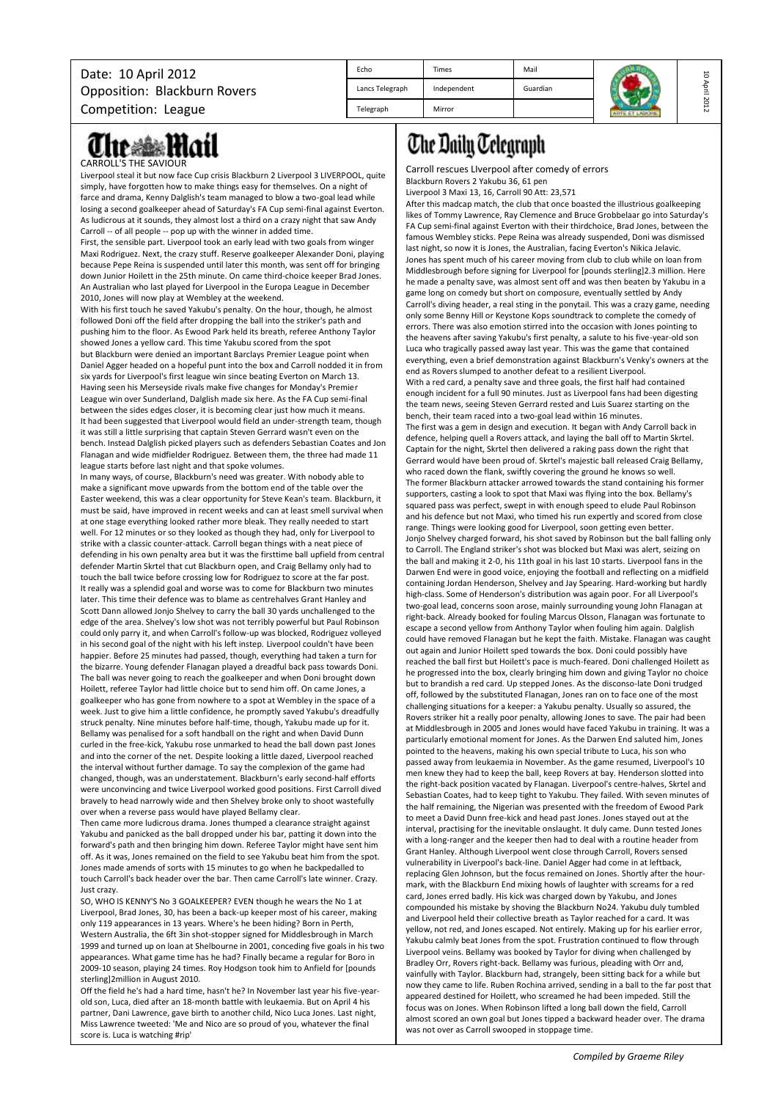#### Date: 10 April 2012 Opposition: Blackburn Rovers Competition: League

| <b>Mail</b><br><b>Ohe</b>    |
|------------------------------|
| <b>CARROLL'S THE SAVIOUR</b> |

Liverpool steal it but now face Cup crisis Blackburn 2 Liverpool 3 LIVERPOOL, quite simply, have forgotten how to make things easy for themselves. On a night of farce and drama, Kenny Dalglish's team managed to blow a two-goal lead while losing a second goalkeeper ahead of Saturday's FA Cup semi-final against Everton. As ludicrous at it sounds, they almost lost a third on a crazy night that saw Andy Carroll -- of all people -- pop up with the winner in added time.

First, the sensible part. Liverpool took an early lead with two goals from winger Maxi Rodriguez. Next, the crazy stuff. Reserve goalkeeper Alexander Doni, playing because Pepe Reina is suspended until later this month, was sent off for bringing down Junior Hoilett in the 25th minute. On came third-choice keeper Brad Jones. An Australian who last played for Liverpool in the Europa League in December 2010, Jones will now play at Wembley at the weekend.

With his first touch he saved Yakubu's penalty. On the hour, though, he almost followed Doni off the field after dropping the ball into the striker's path and pushing him to the floor. As Ewood Park held its breath, referee Anthony Taylor showed Jones a yellow card. This time Yakubu scored from the spot but Blackburn were denied an important Barclays Premier League point when Daniel Agger headed on a hopeful punt into the box and Carroll nodded it in from six yards for Liverpool's first league win since beating Everton on March 13. Having seen his Merseyside rivals make five changes for Monday's Premier League win over Sunderland, Dalglish made six here. As the FA Cup semi-final between the sides edges closer, it is becoming clear just how much it means. It had been suggested that Liverpool would field an under-strength team, though it was still a little surprising that captain Steven Gerrard wasn't even on the bench. Instead Dalglish picked players such as defenders Sebastian Coates and Jon Flanagan and wide midfielder Rodriguez. Between them, the three had made 11 league starts before last night and that spoke volumes.

In many ways, of course, Blackburn's need was greater. With nobody able to make a significant move upwards from the bottom end of the table over the Easter weekend, this was a clear opportunity for Steve Kean's team. Blackburn, it must be said, have improved in recent weeks and can at least smell survival when at one stage everything looked rather more bleak. They really needed to start well. For 12 minutes or so they looked as though they had, only for Liverpool to strike with a classic counter-attack. Carroll began things with a neat piece of defending in his own penalty area but it was the firsttime ball upfield from central defender Martin Skrtel that cut Blackburn open, and Craig Bellamy only had to touch the ball twice before crossing low for Rodriguez to score at the far post. It really was a splendid goal and worse was to come for Blackburn two minutes later. This time their defence was to blame as centrehalves Grant Hanley and Scott Dann allowed Jonjo Shelvey to carry the ball 30 yards unchallenged to the edge of the area. Shelvey's low shot was not terribly powerful but Paul Robinson could only parry it, and when Carroll's follow-up was blocked, Rodriguez volleyed in his second goal of the night with his left instep. Liverpool couldn't have been happier. Before 25 minutes had passed, though, everything had taken a turn for the bizarre. Young defender Flanagan played a dreadful back pass towards Doni. The ball was never going to reach the goalkeeper and when Doni brought down Hoilett, referee Taylor had little choice but to send him off. On came Jones, a goalkeeper who has gone from nowhere to a spot at Wembley in the space of a week. Just to give him a little confidence, he promptly saved Yakubu's dreadfully struck penalty. Nine minutes before half-time, though, Yakubu made up for it. Bellamy was penalised for a soft handball on the right and when David Dunn curled in the free-kick, Yakubu rose unmarked to head the ball down past Jones and into the corner of the net. Despite looking a little dazed, Liverpool reached the interval without further damage. To say the complexion of the game had changed, though, was an understatement. Blackburn's early second-half efforts were unconvincing and twice Liverpool worked good positions. First Carroll dived bravely to head narrowly wide and then Shelvey broke only to shoot wastefully over when a reverse pass would have played Bellamy clear.

Then came more ludicrous drama. Jones thumped a clearance straight against Yakubu and panicked as the ball dropped under his bar, patting it down into the forward's path and then bringing him down. Referee Taylor might have sent him off. As it was, Jones remained on the field to see Yakubu beat him from the spot. Jones made amends of sorts with 15 minutes to go when he backpedalled to touch Carroll's back header over the bar. Then came Carroll's late winner. Crazy. Just crazy.

SO, WHO IS KENNY'S No 3 GOALKEEPER? EVEN though he wears the No 1 at Liverpool, Brad Jones, 30, has been a back-up keeper most of his career, making only 119 appearances in 13 years. Where's he been hiding? Born in Perth, Western Australia, the 6ft 3in shot-stopper signed for Middlesbrough in March 1999 and turned up on loan at Shelbourne in 2001, conceding five goals in his two appearances. What game time has he had? Finally became a regular for Boro in 2009-10 season, playing 24 times. Roy Hodgson took him to Anfield for [pounds sterling]2million in August 2010.

Off the field he's had a hard time, hasn't he? In November last year his five-yearold son, Luca, died after an 18-month battle with leukaemia. But on April 4 his partner, Dani Lawrence, gave birth to another child, Nico Luca Jones. Last night, Miss Lawrence tweeted: 'Me and Nico are so proud of you, whatever the final score is. Luca is watching #rip'

# **The Daily Telegraph**

Times

Echo

Telegraph

Mirror

Lancs Telegraph Independent Guardian

Carroll rescues LIverpool after comedy of errors Blackburn Rovers 2 Yakubu 36, 61 pen

Mail

10 April 2012

10 April 201

Liverpool 3 Maxi 13, 16, Carroll 90 Att: 23,571

After this madcap match, the club that once boasted the illustrious goalkeeping likes of Tommy Lawrence, Ray Clemence and Bruce Grobbelaar go into Saturday's FA Cup semi-final against Everton with their thirdchoice, Brad Jones, between the famous Wembley sticks. Pepe Reina was already suspended, Doni was dismissed last night, so now it is Jones, the Australian, facing Everton's Nikica Jelavic. Jones has spent much of his career moving from club to club while on loan from Middlesbrough before signing for Liverpool for [pounds sterling]2.3 million. Here he made a penalty save, was almost sent off and was then beaten by Yakubu in a game long on comedy but short on composure, eventually settled by Andy Carroll's diving header, a real sting in the ponytail. This was a crazy game, needing only some Benny Hill or Keystone Kops soundtrack to complete the comedy of errors. There was also emotion stirred into the occasion with Jones pointing to the heavens after saving Yakubu's first penalty, a salute to his five-year-old son Luca who tragically passed away last year. This was the game that contained everything, even a brief demonstration against Blackburn's Venky's owners at the end as Rovers slumped to another defeat to a resilient Liverpool. With a red card, a penalty save and three goals, the first half had contained enough incident for a full 90 minutes. Just as Liverpool fans had been digesting the team news, seeing Steven Gerrard rested and Luis Suarez starting on the bench, their team raced into a two-goal lead within 16 minutes. The first was a gem in design and execution. It began with Andy Carroll back in defence, helping quell a Rovers attack, and laying the ball off to Martin Skrtel. Captain for the night, Skrtel then delivered a raking pass down the right that Gerrard would have been proud of. Skrtel's majestic ball released Craig Bellamy, who raced down the flank, swiftly covering the ground he knows so well. The former Blackburn attacker arrowed towards the stand containing his former supporters, casting a look to spot that Maxi was flying into the box. Bellamy's squared pass was perfect, swept in with enough speed to elude Paul Robinson and his defence but not Maxi, who timed his run expertly and scored from close range. Things were looking good for Liverpool, soon getting even better. Jonjo Shelvey charged forward, his shot saved by Robinson but the ball falling only to Carroll. The England striker's shot was blocked but Maxi was alert, seizing on the ball and making it 2-0, his 11th goal in his last 10 starts. Liverpool fans in the Darwen End were in good voice, enjoying the football and reflecting on a midfield containing Jordan Henderson, Shelvey and Jay Spearing. Hard-working but hardly high-class. Some of Henderson's distribution was again poor. For all Liverpool's two-goal lead, concerns soon arose, mainly surrounding young John Flanagan at right-back. Already booked for fouling Marcus Olsson, Flanagan was fortunate to escape a second yellow from Anthony Taylor when fouling him again. Dalglish could have removed Flanagan but he kept the faith. Mistake. Flanagan was caught out again and Junior Hoilett sped towards the box. Doni could possibly have reached the ball first but Hoilett's pace is much-feared. Doni challenged Hoilett as he progressed into the box, clearly bringing him down and giving Taylor no choice but to brandish a red card. Up stepped Jones. As the disconso-late Doni trudged off, followed by the substituted Flanagan, Jones ran on to face one of the most challenging situations for a keeper: a Yakubu penalty. Usually so assured, the Rovers striker hit a really poor penalty, allowing Jones to save. The pair had been at Middlesbrough in 2005 and Jones would have faced Yakubu in training. It was a particularly emotional moment for Jones. As the Darwen End saluted him, Jones pointed to the heavens, making his own special tribute to Luca, his son who passed away from leukaemia in November. As the game resumed, Liverpool's 10 men knew they had to keep the ball, keep Rovers at bay. Henderson slotted into the right-back position vacated by Flanagan. Liverpool's centre-halves, Skrtel and Sebastian Coates, had to keep tight to Yakubu. They failed. With seven minutes of the half remaining, the Nigerian was presented with the freedom of Ewood Park to meet a David Dunn free-kick and head past Jones. Jones stayed out at the interval, practising for the inevitable onslaught. It duly came. Dunn tested Jones with a long-ranger and the keeper then had to deal with a routine header from Grant Hanley. Although Liverpool went close through Carroll, Rovers sensed vulnerability in Liverpool's back-line. Daniel Agger had come in at leftback, replacing Glen Johnson, but the focus remained on Jones. Shortly after the hourmark, with the Blackburn End mixing howls of laughter with screams for a red card, Jones erred badly. His kick was charged down by Yakubu, and Jones compounded his mistake by shoving the Blackburn No24. Yakubu duly tumbled and Liverpool held their collective breath as Taylor reached for a card. It was yellow, not red, and Jones escaped. Not entirely. Making up for his earlier error, Yakubu calmly beat Jones from the spot. Frustration continued to flow through Liverpool veins. Bellamy was booked by Taylor for diving when challenged by Bradley Orr, Rovers right-back. Bellamy was furious, pleading with Orr and, vainfully with Taylor. Blackburn had, strangely, been sitting back for a while but now they came to life. Ruben Rochina arrived, sending in a ball to the far post that appeared destined for Hoilett, who screamed he had been impeded. Still the focus was on Jones. When Robinson lifted a long ball down the field, Carroll almost scored an own goal but Jones tipped a backward header over. The drama was not over as Carroll swooped in stoppage time.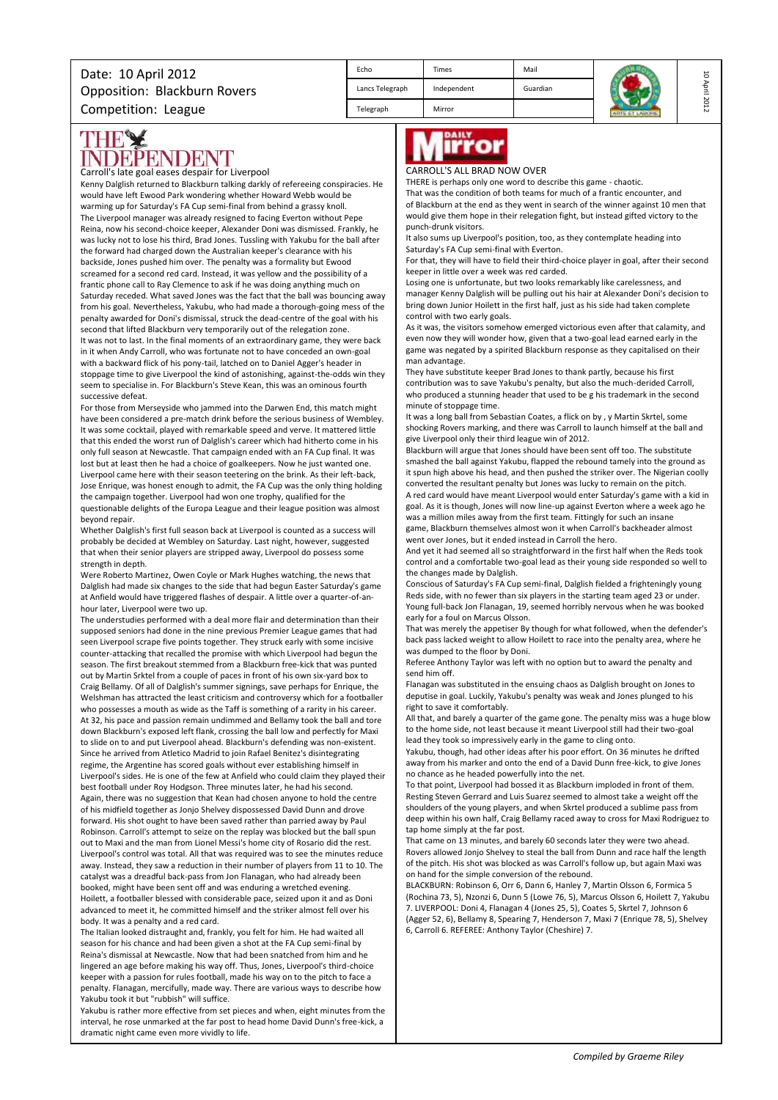#### Date: 10 April 2012 Opposition: Blackburn Rovers Competition: League

| Telegraph       | Mirror      |
|-----------------|-------------|
| Lancs Telegraph | Independent |
| <b>F</b> cho    | Times       |





### **THEX** Carroll's late goal eases despair for Liverpool

Kenny Dalglish returned to Blackburn talking darkly of refereeing conspiracies. He would have left Ewood Park wondering whether Howard Webb would be warming up for Saturday's FA Cup semi-final from behind a grassy knoll. The Liverpool manager was already resigned to facing Everton without Pepe Reina, now his second-choice keeper, Alexander Doni was dismissed. Frankly, he was lucky not to lose his third, Brad Jones. Tussling with Yakubu for the ball after the forward had charged down the Australian keeper's clearance with his backside, Jones pushed him over. The penalty was a formality but Ewood screamed for a second red card. Instead, it was yellow and the possibility of a frantic phone call to Ray Clemence to ask if he was doing anything much on Saturday receded. What saved Jones was the fact that the ball was bouncing away from his goal. Nevertheless, Yakubu, who had made a thorough-going mess of the penalty awarded for Doni's dismissal, struck the dead-centre of the goal with his second that lifted Blackburn very temporarily out of the relegation zone. It was not to last. In the final moments of an extraordinary game, they were back in it when Andy Carroll, who was fortunate not to have conceded an own-goal with a backward flick of his pony-tail, latched on to Daniel Agger's header in stoppage time to give Liverpool the kind of astonishing, against-the-odds win they seem to specialise in. For Blackburn's Steve Kean, this was an ominous fourth successive defeat.

For those from Merseyside who jammed into the Darwen End, this match might have been considered a pre-match drink before the serious business of Wembley. It was some cocktail, played with remarkable speed and verve. It mattered little that this ended the worst run of Dalglish's career which had hitherto come in his only full season at Newcastle. That campaign ended with an FA Cup final. It was lost but at least then he had a choice of goalkeepers. Now he just wanted one. Liverpool came here with their season teetering on the brink. As their left-back, Jose Enrique, was honest enough to admit, the FA Cup was the only thing holding the campaign together. Liverpool had won one trophy, qualified for the questionable delights of the Europa League and their league position was almost beyond repair.

Whether Dalglish's first full season back at Liverpool is counted as a success will probably be decided at Wembley on Saturday. Last night, however, suggested that when their senior players are stripped away, Liverpool do possess some strength in depth.

Were Roberto Martinez, Owen Coyle or Mark Hughes watching, the news that Dalglish had made six changes to the side that had begun Easter Saturday's game at Anfield would have triggered flashes of despair. A little over a quarter-of-anhour later, Liverpool were two up.

The understudies performed with a deal more flair and determination than their supposed seniors had done in the nine previous Premier League games that had seen Liverpool scrape five points together. They struck early with some incisive counter-attacking that recalled the promise with which Liverpool had begun the season. The first breakout stemmed from a Blackburn free-kick that was punted out by Martin Srktel from a couple of paces in front of his own six-yard box to Craig Bellamy. Of all of Dalglish's summer signings, save perhaps for Enrique, the Welshman has attracted the least criticism and controversy which for a footballer who possesses a mouth as wide as the Taff is something of a rarity in his career. At 32, his pace and passion remain undimmed and Bellamy took the ball and tore down Blackburn's exposed left flank, crossing the ball low and perfectly for Maxi to slide on to and put Liverpool ahead. Blackburn's defending was non-existent. Since he arrived from Atletico Madrid to join Rafael Benitez's disintegrating regime, the Argentine has scored goals without ever establishing himself in Liverpool's sides. He is one of the few at Anfield who could claim they played their best football under Roy Hodgson. Three minutes later, he had his second. Again, there was no suggestion that Kean had chosen anyone to hold the centre of his midfield together as Jonjo Shelvey dispossessed David Dunn and drove forward. His shot ought to have been saved rather than parried away by Paul Robinson. Carroll's attempt to seize on the replay was blocked but the ball spun out to Maxi and the man from Lionel Messi's home city of Rosario did the rest. Liverpool's control was total. All that was required was to see the minutes reduce away. Instead, they saw a reduction in their number of players from 11 to 10. The catalyst was a dreadful back-pass from Jon Flanagan, who had already been booked, might have been sent off and was enduring a wretched evening. Hoilett, a footballer blessed with considerable pace, seized upon it and as Doni advanced to meet it, he committed himself and the striker almost fell over his body. It was a penalty and a red card.

The Italian looked distraught and, frankly, you felt for him. He had waited all season for his chance and had been given a shot at the FA Cup semi-final by Reina's dismissal at Newcastle. Now that had been snatched from him and he lingered an age before making his way off. Thus, Jones, Liverpool's third-choice keeper with a passion for rules football, made his way on to the pitch to face a penalty. Flanagan, mercifully, made way. There are various ways to describe how Yakubu took it but "rubbish" will suffice.

Yakubu is rather more effective from set pieces and when, eight minutes from the interval, he rose unmarked at the far post to head home David Dunn's free-kick, a dramatic night came even more vividly to life.



#### CARROLL'S ALL BRAD NOW OVER

THERE is perhaps only one word to describe this game - chaotic. That was the condition of both teams for much of a frantic encounter, and of Blackburn at the end as they went in search of the winner against 10 men that would give them hope in their relegation fight, but instead gifted victory to the punch-drunk visitors.

It also sums up Liverpool's position, too, as they contemplate heading into Saturday's FA Cup semi-final with Everton.

Mail

**Guardian** 

For that, they will have to field their third-choice player in goal, after their second keeper in little over a week was red carded.

Losing one is unfortunate, but two looks remarkably like carelessness, and manager Kenny Dalglish will be pulling out his hair at Alexander Doni's decision to bring down Junior Hoilett in the first half, just as his side had taken complete control with two early goals.

As it was, the visitors somehow emerged victorious even after that calamity, and even now they will wonder how, given that a two-goal lead earned early in the game was negated by a spirited Blackburn response as they capitalised on their man advantage.

They have substitute keeper Brad Jones to thank partly, because his first contribution was to save Yakubu's penalty, but also the much-derided Carroll, who produced a stunning header that used to be g his trademark in the second minute of stoppage time.

It was a long ball from Sebastian Coates, a flick on by , y Martin Skrtel, some shocking Rovers marking, and there was Carroll to launch himself at the ball and give Liverpool only their third league win of 2012.

Blackburn will argue that Jones should have been sent off too. The substitute smashed the ball against Yakubu, flapped the rebound tamely into the ground as it spun high above his head, and then pushed the striker over. The Nigerian coolly converted the resultant penalty but Jones was lucky to remain on the pitch. A red card would have meant Liverpool would enter Saturday's game with a kid in

goal. As it is though, Jones will now line-up against Everton where a week ago he was a million miles away from the first team. Fittingly for such an insane

game, Blackburn themselves almost won it when Carroll's backheader almost went over Jones, but it ended instead in Carroll the hero.

And yet it had seemed all so straightforward in the first half when the Reds took control and a comfortable two-goal lead as their young side responded so well to the changes made by Dalglish.

Conscious of Saturday's FA Cup semi-final, Dalglish fielded a frighteningly young Reds side, with no fewer than six players in the starting team aged 23 or under. Young full-back Jon Flanagan, 19, seemed horribly nervous when he was booked early for a foul on Marcus Olsson.

That was merely the appetiser By though for what followed, when the defender's back pass lacked weight to allow Hoilett to race into the penalty area, where he was dumped to the floor by Doni.

Referee Anthony Taylor was left with no option but to award the penalty and send him off.

Flanagan was substituted in the ensuing chaos as Dalglish brought on Jones to deputise in goal. Luckily, Yakubu's penalty was weak and Jones plunged to his right to save it comfortably.

All that, and barely a quarter of the game gone. The penalty miss was a huge blow to the home side, not least because it meant Liverpool still had their two-goal lead they took so impressively early in the game to cling onto.

Yakubu, though, had other ideas after his poor effort. On 36 minutes he drifted away from his marker and onto the end of a David Dunn free-kick, to give Jones no chance as he headed powerfully into the net.

To that point, Liverpool had bossed it as Blackburn imploded in front of them. Resting Steven Gerrard and Luis Suarez seemed to almost take a weight off the shoulders of the young players, and when Skrtel produced a sublime pass from deep within his own half, Craig Bellamy raced away to cross for Maxi Rodriguez to tap home simply at the far post.

That came on 13 minutes, and barely 60 seconds later they were two ahead. Rovers allowed Jonjo Shelvey to steal the ball from Dunn and race half the length of the pitch. His shot was blocked as was Carroll's follow up, but again Maxi was on hand for the simple conversion of the rebound.

BLACKBURN: Robinson 6, Orr 6, Dann 6, Hanley 7, Martin Olsson 6, Formica 5 (Rochina 73, 5), Nzonzi 6, Dunn 5 (Lowe 76, 5), Marcus Olsson 6, Hoilett 7, Yakubu 7. LIVERPOOL: Doni 4, Flanagan 4 (Jones 25, 5), Coates 5, Skrtel 7, Johnson 6 (Agger 52, 6), Bellamy 8, Spearing 7, Henderson 7, Maxi 7 (Enrique 78, 5), Shelvey 6, Carroll 6. REFEREE: Anthony Taylor (Cheshire) 7.